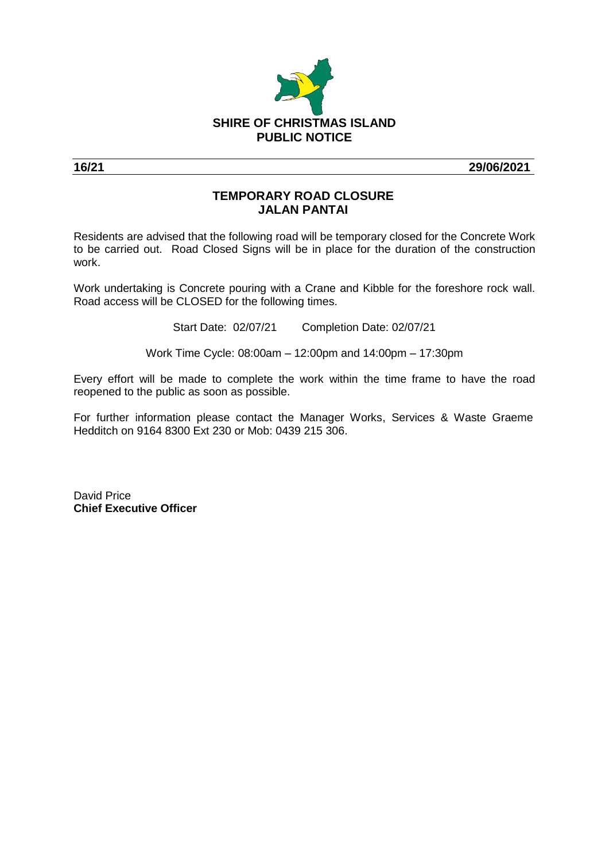

**16/21 29/06/2021**

## **TEMPORARY ROAD CLOSURE JALAN PANTAI**

Residents are advised that the following road will be temporary closed for the Concrete Work to be carried out. Road Closed Signs will be in place for the duration of the construction work.

Work undertaking is Concrete pouring with a Crane and Kibble for the foreshore rock wall. Road access will be CLOSED for the following times.

Start Date: 02/07/21 Completion Date: 02/07/21

Work Time Cycle: 08:00am – 12:00pm and 14:00pm – 17:30pm

Every effort will be made to complete the work within the time frame to have the road reopened to the public as soon as possible.

For further information please contact the Manager Works, Services & Waste Graeme Hedditch on 9164 8300 Ext 230 or Mob: 0439 215 306.

David Price **Chief Executive Officer**